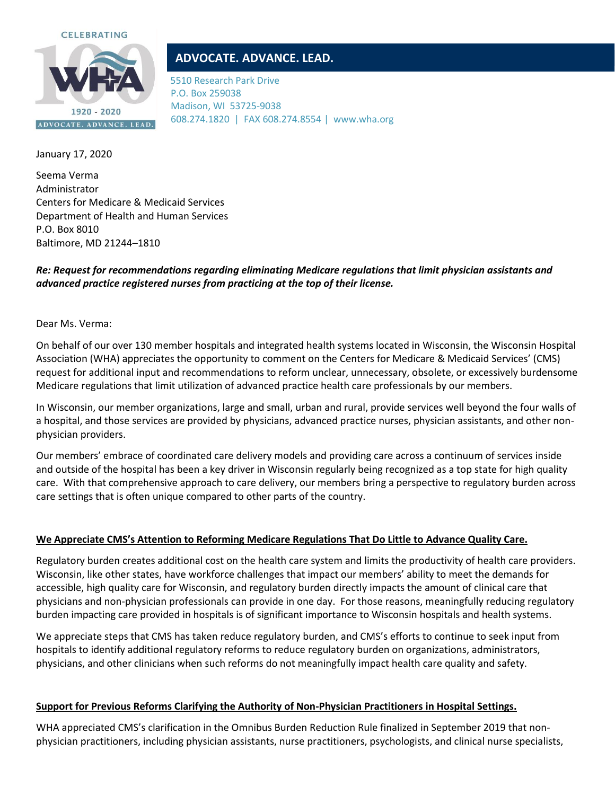

# **ADVOCATE. ADVANCE. LEAD.**

5510 Research Park Drive P.O. Box 259038 Madison, WI 53725-9038 608.274.1820 | FAX 608.274.8554 | www.wha.org

January 17, 2020

Seema Verma Administrator Centers for Medicare & Medicaid Services Department of Health and Human Services P.O. Box 8010 Baltimore, MD 21244–1810

## *Re: Request for recommendations regarding eliminating Medicare regulations that limit physician assistants and advanced practice registered nurses from practicing at the top of their license.*

Dear Ms. Verma:

On behalf of our over 130 member hospitals and integrated health systems located in Wisconsin, the Wisconsin Hospital Association (WHA) appreciates the opportunity to comment on the Centers for Medicare & Medicaid Services' (CMS) request for additional input and recommendations to reform unclear, unnecessary, obsolete, or excessively burdensome Medicare regulations that limit utilization of advanced practice health care professionals by our members.

In Wisconsin, our member organizations, large and small, urban and rural, provide services well beyond the four walls of a hospital, and those services are provided by physicians, advanced practice nurses, physician assistants, and other nonphysician providers.

Our members' embrace of coordinated care delivery models and providing care across a continuum of services inside and outside of the hospital has been a key driver in Wisconsin regularly being recognized as a top state for high quality care. With that comprehensive approach to care delivery, our members bring a perspective to regulatory burden across care settings that is often unique compared to other parts of the country.

## **We Appreciate CMS's Attention to Reforming Medicare Regulations That Do Little to Advance Quality Care.**

Regulatory burden creates additional cost on the health care system and limits the productivity of health care providers. Wisconsin, like other states, have workforce challenges that impact our members' ability to meet the demands for accessible, high quality care for Wisconsin, and regulatory burden directly impacts the amount of clinical care that physicians and non-physician professionals can provide in one day. For those reasons, meaningfully reducing regulatory burden impacting care provided in hospitals is of significant importance to Wisconsin hospitals and health systems.

We appreciate steps that CMS has taken reduce regulatory burden, and CMS's efforts to continue to seek input from hospitals to identify additional regulatory reforms to reduce regulatory burden on organizations, administrators, physicians, and other clinicians when such reforms do not meaningfully impact health care quality and safety.

## **Support for Previous Reforms Clarifying the Authority of Non-Physician Practitioners in Hospital Settings.**

WHA appreciated CMS's clarification in the Omnibus Burden Reduction Rule finalized in September 2019 that nonphysician practitioners, including physician assistants, nurse practitioners, psychologists, and clinical nurse specialists,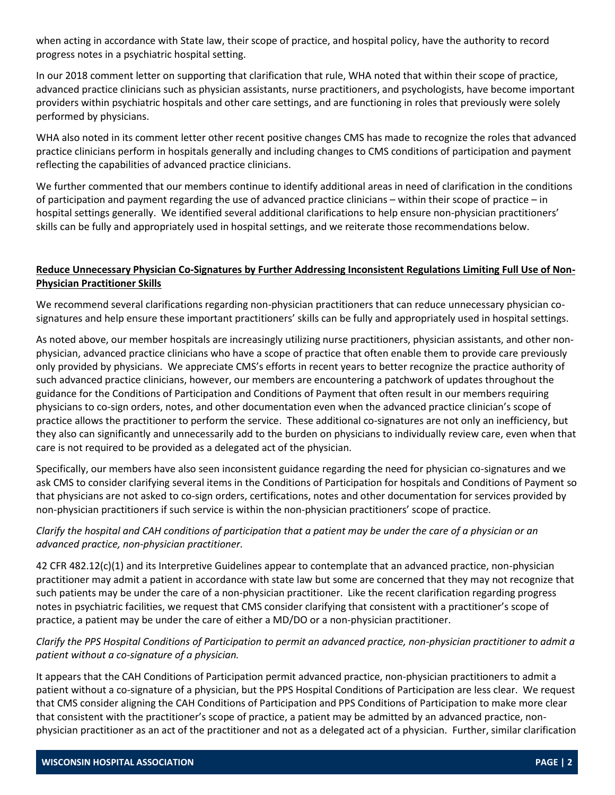when acting in accordance with State law, their scope of practice, and hospital policy, have the authority to record progress notes in a psychiatric hospital setting.

In our 2018 comment letter on supporting that clarification that rule, WHA noted that within their scope of practice, advanced practice clinicians such as physician assistants, nurse practitioners, and psychologists, have become important providers within psychiatric hospitals and other care settings, and are functioning in roles that previously were solely performed by physicians.

WHA also noted in its comment letter other recent positive changes CMS has made to recognize the roles that advanced practice clinicians perform in hospitals generally and including changes to CMS conditions of participation and payment reflecting the capabilities of advanced practice clinicians.

We further commented that our members continue to identify additional areas in need of clarification in the conditions of participation and payment regarding the use of advanced practice clinicians – within their scope of practice – in hospital settings generally. We identified several additional clarifications to help ensure non-physician practitioners' skills can be fully and appropriately used in hospital settings, and we reiterate those recommendations below.

#### **Reduce Unnecessary Physician Co-Signatures by Further Addressing Inconsistent Regulations Limiting Full Use of Non-Physician Practitioner Skills**

We recommend several clarifications regarding non-physician practitioners that can reduce unnecessary physician cosignatures and help ensure these important practitioners' skills can be fully and appropriately used in hospital settings.

As noted above, our member hospitals are increasingly utilizing nurse practitioners, physician assistants, and other nonphysician, advanced practice clinicians who have a scope of practice that often enable them to provide care previously only provided by physicians. We appreciate CMS's efforts in recent years to better recognize the practice authority of such advanced practice clinicians, however, our members are encountering a patchwork of updates throughout the guidance for the Conditions of Participation and Conditions of Payment that often result in our members requiring physicians to co-sign orders, notes, and other documentation even when the advanced practice clinician's scope of practice allows the practitioner to perform the service. These additional co-signatures are not only an inefficiency, but they also can significantly and unnecessarily add to the burden on physicians to individually review care, even when that care is not required to be provided as a delegated act of the physician.

Specifically, our members have also seen inconsistent guidance regarding the need for physician co-signatures and we ask CMS to consider clarifying several items in the Conditions of Participation for hospitals and Conditions of Payment so that physicians are not asked to co-sign orders, certifications, notes and other documentation for services provided by non-physician practitioners if such service is within the non-physician practitioners' scope of practice.

## *Clarify the hospital and CAH conditions of participation that a patient may be under the care of a physician or an advanced practice, non-physician practitioner.*

42 CFR 482.12(c)(1) and its Interpretive Guidelines appear to contemplate that an advanced practice, non-physician practitioner may admit a patient in accordance with state law but some are concerned that they may not recognize that such patients may be under the care of a non-physician practitioner. Like the recent clarification regarding progress notes in psychiatric facilities, we request that CMS consider clarifying that consistent with a practitioner's scope of practice, a patient may be under the care of either a MD/DO or a non-physician practitioner.

## *Clarify the PPS Hospital Conditions of Participation to permit an advanced practice, non-physician practitioner to admit a patient without a co-signature of a physician.*

It appears that the CAH Conditions of Participation permit advanced practice, non-physician practitioners to admit a patient without a co-signature of a physician, but the PPS Hospital Conditions of Participation are less clear. We request that CMS consider aligning the CAH Conditions of Participation and PPS Conditions of Participation to make more clear that consistent with the practitioner's scope of practice, a patient may be admitted by an advanced practice, nonphysician practitioner as an act of the practitioner and not as a delegated act of a physician. Further, similar clarification